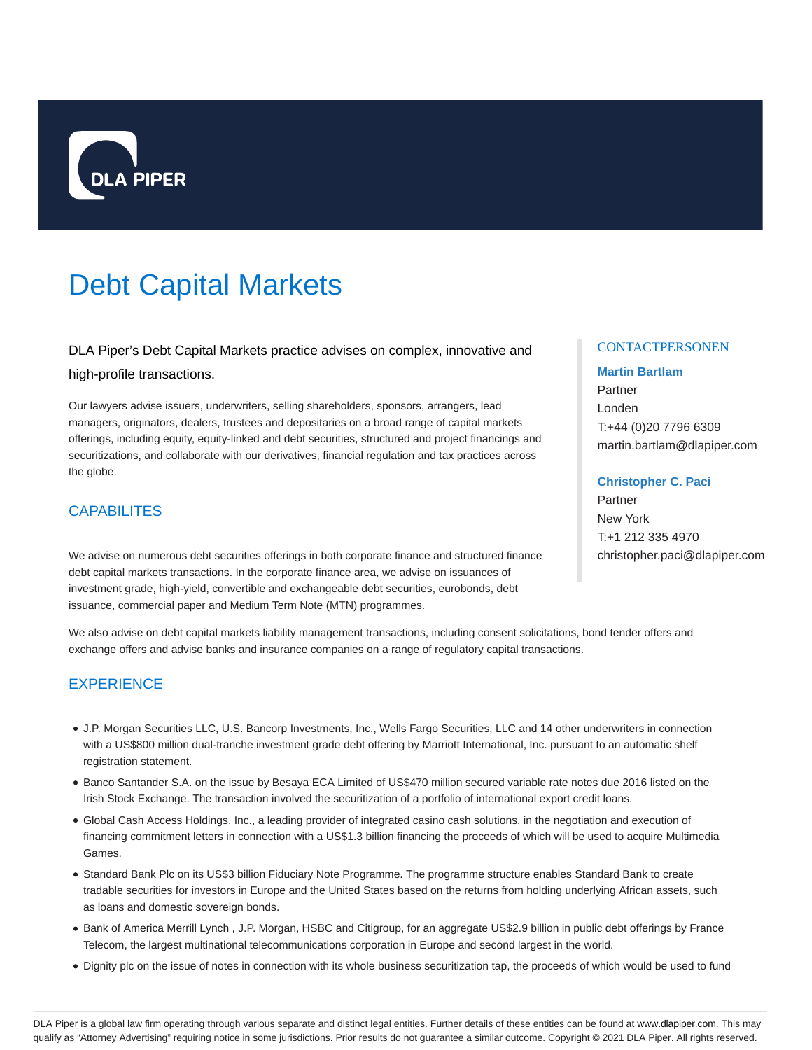

# Debt Capital Markets

DLA Piper's Debt Capital Markets practice advises on complex, innovative and high-profile transactions.

Our lawyers advise issuers, underwriters, selling shareholders, sponsors, arrangers, lead managers, originators, dealers, trustees and depositaries on a broad range of capital markets offerings, including equity, equity-linked and debt securities, structured and project financings and securitizations, and collaborate with our derivatives, financial regulation and tax practices across the globe.

## **CAPABILITES**

We advise on numerous debt securities offerings in both corporate finance and structured finance debt capital markets transactions. In the corporate finance area, we advise on issuances of investment grade, high-yield, convertible and exchangeable debt securities, eurobonds, debt issuance, commercial paper and Medium Term Note (MTN) programmes.

#### **CONTACTPERSONEN**

# **Martin Bartlam** Partner Londen T:+44 (0)20 7796 6309 martin.bartlam@dlapiper.com

#### **Christopher C. Paci**

Partner New York T:+1 212 335 4970 christopher.paci@dlapiper.com

We also advise on debt capital markets liability management transactions, including consent solicitations, bond tender offers and exchange offers and advise banks and insurance companies on a range of regulatory capital transactions.

## **EXPERIENCE**

- J.P. Morgan Securities LLC, U.S. Bancorp Investments, Inc., Wells Fargo Securities, LLC and 14 other underwriters in connection with a US\$800 million dual-tranche investment grade debt offering by Marriott International, Inc. pursuant to an automatic shelf registration statement.
- Banco Santander S.A. on the issue by Besaya ECA Limited of US\$470 million secured variable rate notes due 2016 listed on the Irish Stock Exchange. The transaction involved the securitization of a portfolio of international export credit loans.
- Global Cash Access Holdings, Inc., a leading provider of integrated casino cash solutions, in the negotiation and execution of financing commitment letters in connection with a US\$1.3 billion financing the proceeds of which will be used to acquire Multimedia Games.
- Standard Bank Plc on its US\$3 billion Fiduciary Note Programme. The programme structure enables Standard Bank to create tradable securities for investors in Europe and the United States based on the returns from holding underlying African assets, such as loans and domestic sovereign bonds.
- Bank of America Merrill Lynch, J.P. Morgan, HSBC and Citigroup, for an aggregate US\$2.9 billion in public debt offerings by France Telecom, the largest multinational telecommunications corporation in Europe and second largest in the world.
- Dignity plc on the issue of notes in connection with its whole business securitization tap, the proceeds of which would be used to fund